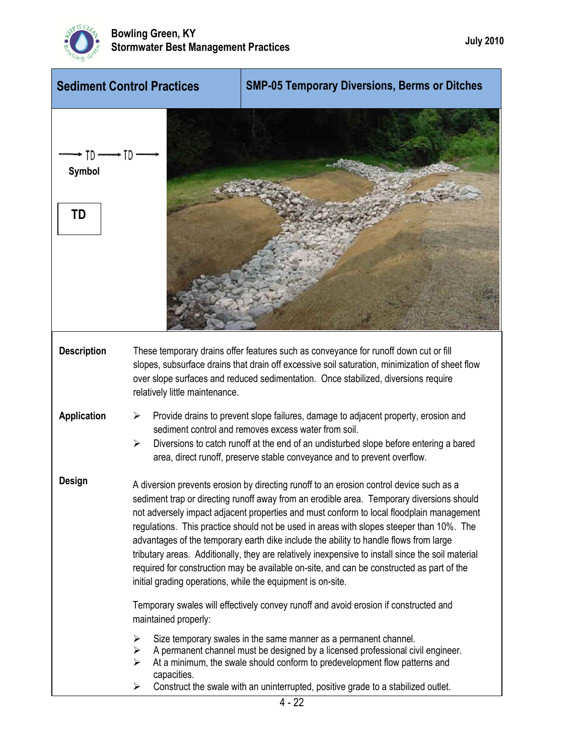

|                             | <b>Sediment Control Practices</b>                           | <b>SMP-05 Temporary Diversions, Berms or Ditches</b>                                                                                                                                                                                                                                                                                                                                                                                                                                                                                                                                                                                                                                                                                                            |
|-----------------------------|-------------------------------------------------------------|-----------------------------------------------------------------------------------------------------------------------------------------------------------------------------------------------------------------------------------------------------------------------------------------------------------------------------------------------------------------------------------------------------------------------------------------------------------------------------------------------------------------------------------------------------------------------------------------------------------------------------------------------------------------------------------------------------------------------------------------------------------------|
| → TD ——→ TD<br>Symbol<br>TD |                                                             |                                                                                                                                                                                                                                                                                                                                                                                                                                                                                                                                                                                                                                                                                                                                                                 |
| <b>Description</b>          | relatively little maintenance.                              | These temporary drains offer features such as conveyance for runoff down cut or fill<br>slopes, subsurface drains that drain off excessive soil saturation, minimization of sheet flow<br>over slope surfaces and reduced sedimentation. Once stabilized, diversions require                                                                                                                                                                                                                                                                                                                                                                                                                                                                                    |
| <b>Application</b>          | ➤<br>$\blacktriangleright$                                  | Provide drains to prevent slope failures, damage to adjacent property, erosion and<br>sediment control and removes excess water from soil.<br>Diversions to catch runoff at the end of an undisturbed slope before entering a bared<br>area, direct runoff, preserve stable conveyance and to prevent overflow.                                                                                                                                                                                                                                                                                                                                                                                                                                                 |
| <b>Design</b>               | initial grading operations, while the equipment is on-site. | A diversion prevents erosion by directing runoff to an erosion control device such as a<br>sediment trap or directing runoff away from an erodible area. Temporary diversions should<br>not adversely impact adjacent properties and must conform to local floodplain management<br>regulations. This practice should not be used in areas with slopes steeper than 10%. The<br>advantages of the temporary earth dike include the ability to handle flows from large<br>tributary areas. Additionally, they are relatively inexpensive to install since the soil material<br>required for construction may be available on-site, and can be constructed as part of the<br>Temporary swales will effectively convey runoff and avoid erosion if constructed and |
|                             | maintained properly:                                        |                                                                                                                                                                                                                                                                                                                                                                                                                                                                                                                                                                                                                                                                                                                                                                 |
|                             | ➤<br>$\blacktriangleright$<br>➤<br>capacities.<br>➤         | Size temporary swales in the same manner as a permanent channel.<br>A permanent channel must be designed by a licensed professional civil engineer.<br>At a minimum, the swale should conform to predevelopment flow patterns and<br>Construct the swale with an uninterrupted, positive grade to a stabilized outlet.                                                                                                                                                                                                                                                                                                                                                                                                                                          |

L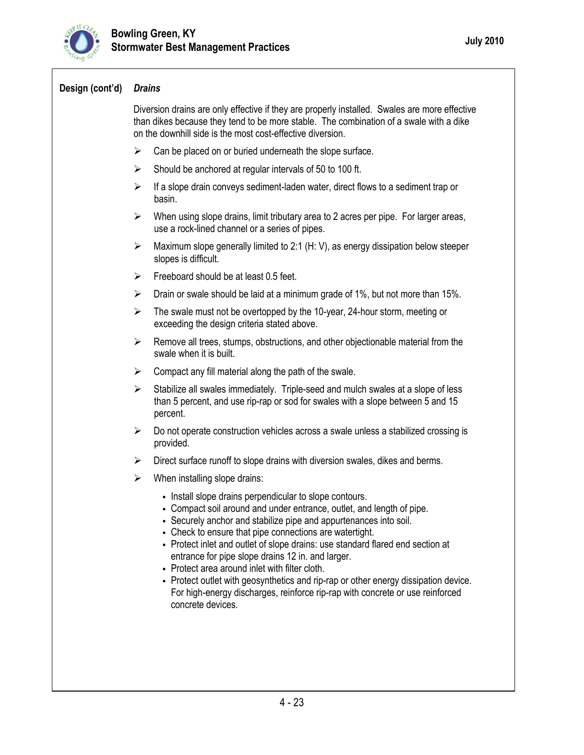

## **Design (cont'd)** *Drains*

Diversion drains are only effective if they are properly installed. Swales are more effective than dikes because they tend to be more stable. The combination of a swale with a dike on the downhill side is the most cost-effective diversion.

- $\triangleright$  Can be placed on or buried underneath the slope surface.
- $\triangleright$  Should be anchored at regular intervals of 50 to 100 ft.
- $\triangleright$  If a slope drain conveys sediment-laden water, direct flows to a sediment trap or basin.
- $\triangleright$  When using slope drains, limit tributary area to 2 acres per pipe. For larger areas, use a rock-lined channel or a series of pipes.
- $\triangleright$  Maximum slope generally limited to 2:1 (H: V), as energy dissipation below steeper slopes is difficult.
- $\triangleright$  Freeboard should be at least 0.5 feet.
- $\triangleright$  Drain or swale should be laid at a minimum grade of 1%, but not more than 15%.
- $\triangleright$  The swale must not be overtopped by the 10-year, 24-hour storm, meeting or exceeding the design criteria stated above.
- $\triangleright$  Remove all trees, stumps, obstructions, and other objectionable material from the swale when it is built.
- $\triangleright$  Compact any fill material along the path of the swale.
- $\triangleright$  Stabilize all swales immediately. Triple-seed and mulch swales at a slope of less than 5 percent, and use rip-rap or sod for swales with a slope between 5 and 15 percent.
- $\triangleright$  Do not operate construction vehicles across a swale unless a stabilized crossing is provided.
- $\triangleright$  Direct surface runoff to slope drains with diversion swales, dikes and berms.
- $\triangleright$  When installing slope drains:
	- Install slope drains perpendicular to slope contours.
	- Compact soil around and under entrance, outlet, and length of pipe.
	- Securely anchor and stabilize pipe and appurtenances into soil.
	- Check to ensure that pipe connections are watertight.
	- Protect inlet and outlet of slope drains: use standard flared end section at entrance for pipe slope drains 12 in. and larger.
	- Protect area around inlet with filter cloth.
	- Protect outlet with geosynthetics and rip-rap or other energy dissipation device. For high-energy discharges, reinforce rip-rap with concrete or use reinforced concrete devices.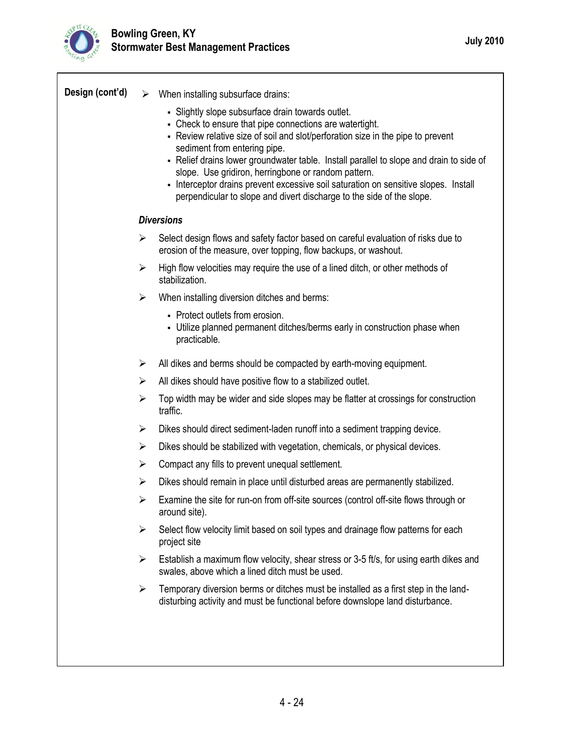

| Design (cont'd) |                   | $\triangleright$ When installing subsurface drains:                                                                                                                                                                                                                                                                                                                                                                                                                                                                                               |  |  |
|-----------------|-------------------|---------------------------------------------------------------------------------------------------------------------------------------------------------------------------------------------------------------------------------------------------------------------------------------------------------------------------------------------------------------------------------------------------------------------------------------------------------------------------------------------------------------------------------------------------|--|--|
|                 |                   | - Slightly slope subsurface drain towards outlet.<br>- Check to ensure that pipe connections are watertight.<br>- Review relative size of soil and slot/perforation size in the pipe to prevent<br>sediment from entering pipe.<br>- Relief drains lower groundwater table. Install parallel to slope and drain to side of<br>slope. Use gridiron, herringbone or random pattern.<br>- Interceptor drains prevent excessive soil saturation on sensitive slopes. Install<br>perpendicular to slope and divert discharge to the side of the slope. |  |  |
|                 | <b>Diversions</b> |                                                                                                                                                                                                                                                                                                                                                                                                                                                                                                                                                   |  |  |
|                 | ➤                 | Select design flows and safety factor based on careful evaluation of risks due to<br>erosion of the measure, over topping, flow backups, or washout.                                                                                                                                                                                                                                                                                                                                                                                              |  |  |
|                 | ➤                 | High flow velocities may require the use of a lined ditch, or other methods of<br>stabilization.                                                                                                                                                                                                                                                                                                                                                                                                                                                  |  |  |
|                 | ➤                 | When installing diversion ditches and berms:                                                                                                                                                                                                                                                                                                                                                                                                                                                                                                      |  |  |
|                 |                   | - Protect outlets from erosion.<br>- Utilize planned permanent ditches/berms early in construction phase when<br>practicable.                                                                                                                                                                                                                                                                                                                                                                                                                     |  |  |
|                 | ➤                 | All dikes and berms should be compacted by earth-moving equipment.                                                                                                                                                                                                                                                                                                                                                                                                                                                                                |  |  |
|                 | ➤                 | All dikes should have positive flow to a stabilized outlet.                                                                                                                                                                                                                                                                                                                                                                                                                                                                                       |  |  |
|                 | ➤                 | Top width may be wider and side slopes may be flatter at crossings for construction<br>traffic.                                                                                                                                                                                                                                                                                                                                                                                                                                                   |  |  |
|                 | ➤                 | Dikes should direct sediment-laden runoff into a sediment trapping device.                                                                                                                                                                                                                                                                                                                                                                                                                                                                        |  |  |
|                 | ➤                 | Dikes should be stabilized with vegetation, chemicals, or physical devices.                                                                                                                                                                                                                                                                                                                                                                                                                                                                       |  |  |
|                 | ➤                 | Compact any fills to prevent unequal settlement.                                                                                                                                                                                                                                                                                                                                                                                                                                                                                                  |  |  |
|                 | ➤                 | Dikes should remain in place until disturbed areas are permanently stabilized.                                                                                                                                                                                                                                                                                                                                                                                                                                                                    |  |  |
|                 | ➤                 | Examine the site for run-on from off-site sources (control off-site flows through or<br>around site).                                                                                                                                                                                                                                                                                                                                                                                                                                             |  |  |
|                 | ➤                 | Select flow velocity limit based on soil types and drainage flow patterns for each<br>project site                                                                                                                                                                                                                                                                                                                                                                                                                                                |  |  |
|                 | ➤                 | Establish a maximum flow velocity, shear stress or 3-5 ft/s, for using earth dikes and<br>swales, above which a lined ditch must be used.                                                                                                                                                                                                                                                                                                                                                                                                         |  |  |
|                 | ➤                 | Temporary diversion berms or ditches must be installed as a first step in the land-<br>disturbing activity and must be functional before downslope land disturbance.                                                                                                                                                                                                                                                                                                                                                                              |  |  |
|                 |                   |                                                                                                                                                                                                                                                                                                                                                                                                                                                                                                                                                   |  |  |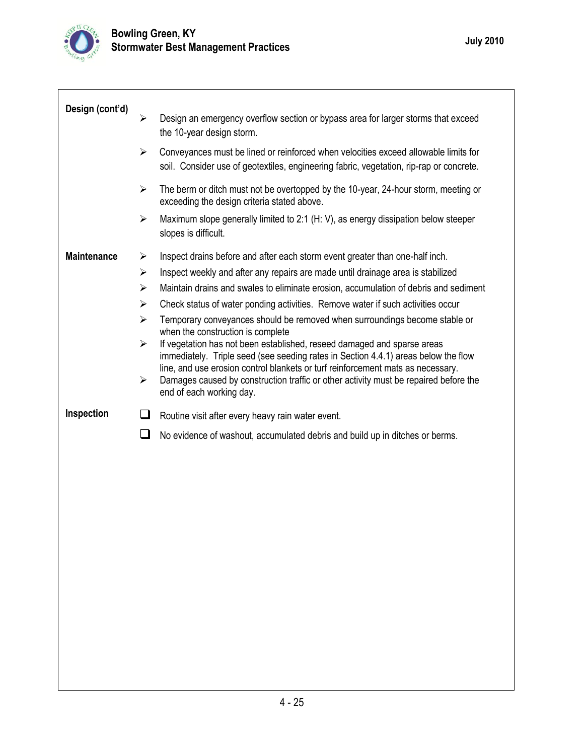

| Design (cont'd)    | ➤                     | Design an emergency overflow section or bypass area for larger storms that exceed                                                                                              |
|--------------------|-----------------------|--------------------------------------------------------------------------------------------------------------------------------------------------------------------------------|
|                    |                       | the 10-year design storm.                                                                                                                                                      |
|                    | ➤                     | Conveyances must be lined or reinforced when velocities exceed allowable limits for<br>soil. Consider use of geotextiles, engineering fabric, vegetation, rip-rap or concrete. |
|                    | ➤                     | The berm or ditch must not be overtopped by the 10-year, 24-hour storm, meeting or<br>exceeding the design criteria stated above.                                              |
|                    | ➤                     | Maximum slope generally limited to 2:1 (H: V), as energy dissipation below steeper<br>slopes is difficult.                                                                     |
| <b>Maintenance</b> | ➤                     | Inspect drains before and after each storm event greater than one-half inch.                                                                                                   |
|                    | $\blacktriangleright$ | Inspect weekly and after any repairs are made until drainage area is stabilized                                                                                                |
|                    | $\blacktriangleright$ | Maintain drains and swales to eliminate erosion, accumulation of debris and sediment                                                                                           |
|                    | ➤                     | Check status of water ponding activities. Remove water if such activities occur                                                                                                |
|                    | ➤                     | Temporary conveyances should be removed when surroundings become stable or<br>when the construction is complete                                                                |
|                    | $\blacktriangleright$ | If vegetation has not been established, reseed damaged and sparse areas<br>immediately. Triple seed (see seeding rates in Section 4.4.1) areas below the flow                  |
|                    | $\blacktriangleright$ | line, and use erosion control blankets or turf reinforcement mats as necessary.<br>Damages caused by construction traffic or other activity must be repaired before the        |
|                    |                       | end of each working day.                                                                                                                                                       |
| Inspection         | ப                     | Routine visit after every heavy rain water event.                                                                                                                              |
|                    |                       |                                                                                                                                                                                |
|                    | $\Box$                | No evidence of washout, accumulated debris and build up in ditches or berms.                                                                                                   |
|                    |                       |                                                                                                                                                                                |
|                    |                       |                                                                                                                                                                                |
|                    |                       |                                                                                                                                                                                |
|                    |                       |                                                                                                                                                                                |
|                    |                       |                                                                                                                                                                                |
|                    |                       |                                                                                                                                                                                |
|                    |                       |                                                                                                                                                                                |
|                    |                       |                                                                                                                                                                                |
|                    |                       |                                                                                                                                                                                |
|                    |                       |                                                                                                                                                                                |
|                    |                       |                                                                                                                                                                                |
|                    |                       |                                                                                                                                                                                |
|                    |                       |                                                                                                                                                                                |